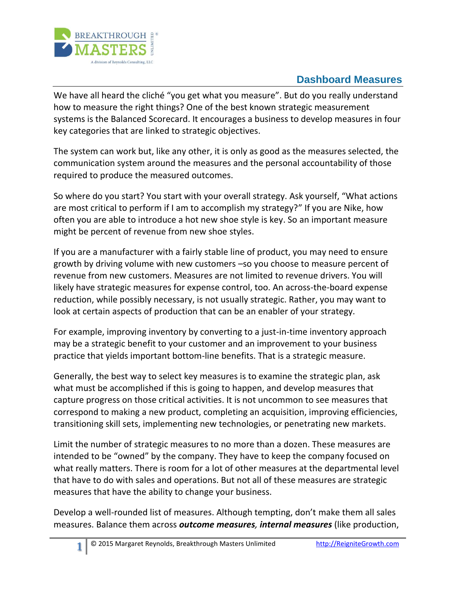

## **Dashboard Measures**

We have all heard the cliché "you get what you measure". But do you really understand how to measure the right things? One of the best known strategic measurement systems is the Balanced Scorecard. It encourages a business to develop measures in four key categories that are linked to strategic objectives.

The system can work but, like any other, it is only as good as the measures selected, the communication system around the measures and the personal accountability of those required to produce the measured outcomes.

So where do you start? You start with your overall strategy. Ask yourself, "What actions are most critical to perform if I am to accomplish my strategy?" If you are Nike, how often you are able to introduce a hot new shoe style is key. So an important measure might be percent of revenue from new shoe styles.

If you are a manufacturer with a fairly stable line of product, you may need to ensure growth by driving volume with new customers –so you choose to measure percent of revenue from new customers. Measures are not limited to revenue drivers. You will likely have strategic measures for expense control, too. An across-the-board expense reduction, while possibly necessary, is not usually strategic. Rather, you may want to look at certain aspects of production that can be an enabler of your strategy.

For example, improving inventory by converting to a just-in-time inventory approach may be a strategic benefit to your customer and an improvement to your business practice that yields important bottom-line benefits. That is a strategic measure.

Generally, the best way to select key measures is to examine the strategic plan, ask what must be accomplished if this is going to happen, and develop measures that capture progress on those critical activities. It is not uncommon to see measures that correspond to making a new product, completing an acquisition, improving efficiencies, transitioning skill sets, implementing new technologies, or penetrating new markets.

Limit the number of strategic measures to no more than a dozen. These measures are intended to be "owned" by the company. They have to keep the company focused on what really matters. There is room for a lot of other measures at the departmental level that have to do with sales and operations. But not all of these measures are strategic measures that have the ability to change your business.

Develop a well-rounded list of measures. Although tempting, don't make them all sales measures. Balance them across *outcome measures, internal measures* (like production,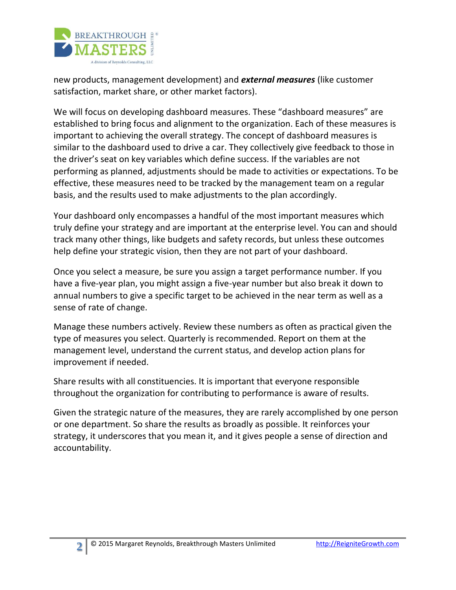

new products, management development) and *external measures* (like customer satisfaction, market share, or other market factors).

We will focus on developing dashboard measures. These "dashboard measures" are established to bring focus and alignment to the organization. Each of these measures is important to achieving the overall strategy. The concept of dashboard measures is similar to the dashboard used to drive a car. They collectively give feedback to those in the driver's seat on key variables which define success. If the variables are not performing as planned, adjustments should be made to activities or expectations. To be effective, these measures need to be tracked by the management team on a regular basis, and the results used to make adjustments to the plan accordingly.

Your dashboard only encompasses a handful of the most important measures which truly define your strategy and are important at the enterprise level. You can and should track many other things, like budgets and safety records, but unless these outcomes help define your strategic vision, then they are not part of your dashboard.

Once you select a measure, be sure you assign a target performance number. If you have a five-year plan, you might assign a five-year number but also break it down to annual numbers to give a specific target to be achieved in the near term as well as a sense of rate of change.

Manage these numbers actively. Review these numbers as often as practical given the type of measures you select. Quarterly is recommended. Report on them at the management level, understand the current status, and develop action plans for improvement if needed.

Share results with all constituencies. It is important that everyone responsible throughout the organization for contributing to performance is aware of results.

Given the strategic nature of the measures, they are rarely accomplished by one person or one department. So share the results as broadly as possible. It reinforces your strategy, it underscores that you mean it, and it gives people a sense of direction and accountability.

**2**